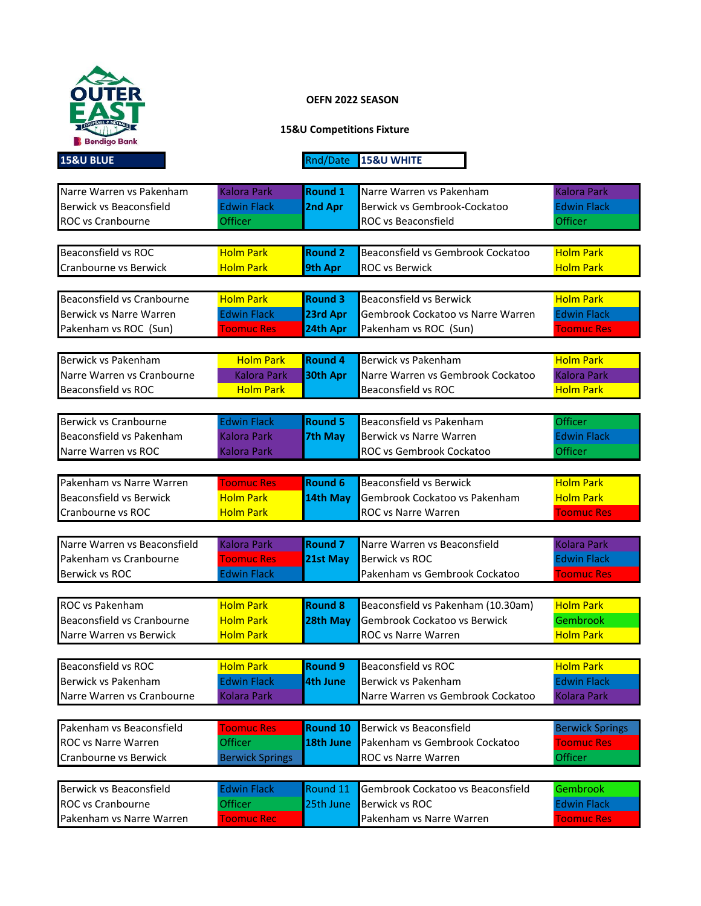

## **OEFN 2022 SEASON**

## **15&U Competitions Fixture**

**15&U BLUE Rnd/Date 15&U WHITE** 

| Narre Warren vs Pakenham       | <b>Kalora Park</b>     | <b>Round 1</b>  | Narre Warren vs Pakenham           | <b>Kalora Park</b>     |
|--------------------------------|------------------------|-----------------|------------------------------------|------------------------|
| Berwick vs Beaconsfield        | <b>Edwin Flack</b>     | 2nd Apr         | Berwick vs Gembrook-Cockatoo       | <b>Edwin Flack</b>     |
| ROC vs Cranbourne              | Officer                |                 | ROC vs Beaconsfield                | <b>Officer</b>         |
|                                |                        |                 |                                    |                        |
| Beaconsfield vs ROC            | <b>Holm Park</b>       | <b>Round 2</b>  | Beaconsfield vs Gembrook Cockatoo  | <b>Holm Park</b>       |
| Cranbourne vs Berwick          | <b>Holm Park</b>       | 9th Apr         | <b>ROC vs Berwick</b>              | <b>Holm Park</b>       |
|                                |                        |                 |                                    |                        |
| Beaconsfield vs Cranbourne     | <b>Holm Park</b>       | <b>Round 3</b>  | <b>Beaconsfield vs Berwick</b>     | <b>Holm Park</b>       |
| Berwick vs Narre Warren        | <b>Edwin Flack</b>     | 23rd Apr        | Gembrook Cockatoo vs Narre Warren  | <b>Edwin Flack</b>     |
| Pakenham vs ROC (Sun)          | <b>Toomuc Res</b>      | 24th Apr        | Pakenham vs ROC (Sun)              | <b>Toomuc Res</b>      |
|                                |                        |                 |                                    |                        |
| Berwick vs Pakenham            | <b>Holm Park</b>       | <b>Round 4</b>  | Berwick vs Pakenham                | <b>Holm Park</b>       |
| Narre Warren vs Cranbourne     | <b>Kalora Park</b>     | 30th Apr        | Narre Warren vs Gembrook Cockatoo  | <b>Kalora Park</b>     |
| Beaconsfield vs ROC            | <b>Holm Park</b>       |                 | Beaconsfield vs ROC                | <b>Holm Park</b>       |
|                                |                        |                 |                                    |                        |
| Berwick vs Cranbourne          | <b>Edwin Flack</b>     | <b>Round 5</b>  | Beaconsfield vs Pakenham           | <b>Officer</b>         |
| Beaconsfield vs Pakenham       | <b>Kalora Park</b>     | <b>7th May</b>  | Berwick vs Narre Warren            | <b>Edwin Flack</b>     |
| Narre Warren vs ROC            | <b>Kalora Park</b>     |                 | <b>ROC vs Gembrook Cockatoo</b>    | <b>Officer</b>         |
|                                |                        |                 |                                    |                        |
| Pakenham vs Narre Warren       | <b>Toomuc Res</b>      | <b>Round 6</b>  | <b>Beaconsfield vs Berwick</b>     | <b>Holm Park</b>       |
| <b>Beaconsfield vs Berwick</b> | <b>Holm Park</b>       | 14th May        | Gembrook Cockatoo vs Pakenham      | <b>Holm Park</b>       |
| Cranbourne vs ROC              | <b>Holm Park</b>       |                 | <b>ROC vs Narre Warren</b>         | <b>Toomuc Res</b>      |
|                                |                        |                 |                                    |                        |
| Narre Warren vs Beaconsfield   | <b>Kalora Park</b>     | <b>Round 7</b>  | Narre Warren vs Beaconsfield       | <b>Kolara Park</b>     |
| Pakenham vs Cranbourne         | <b>Toomuc Res</b>      | 21st May        | Berwick vs ROC                     | <b>Edwin Flack</b>     |
| Berwick vs ROC                 | <b>Edwin Flack</b>     |                 | Pakenham vs Gembrook Cockatoo      | <b>Toomuc Res</b>      |
|                                |                        |                 |                                    |                        |
| <b>ROC</b> vs Pakenham         | <b>Holm Park</b>       | <b>Round 8</b>  | Beaconsfield vs Pakenham (10.30am) | <b>Holm Park</b>       |
| Beaconsfield vs Cranbourne     | <b>Holm Park</b>       | 28th May        | Gembrook Cockatoo vs Berwick       | <b>Gembrook</b>        |
| Narre Warren vs Berwick        | <b>Holm Park</b>       |                 | ROC vs Narre Warren                | <b>Holm Park</b>       |
|                                |                        |                 |                                    |                        |
| <b>Beaconsfield vs ROC</b>     | <b>Holm Park</b>       | <b>Round 9</b>  | <b>Beaconsfield vs ROC</b>         | <b>Holm Park</b>       |
| Berwick vs Pakenham            | <b>Edwin Flack</b>     | <b>4th June</b> | Berwick vs Pakenham                | <b>Edwin Flack</b>     |
| Narre Warren vs Cranbourne     | <b>Kolara Park</b>     |                 | Narre Warren vs Gembrook Cockatoo  | <b>Kolara Park</b>     |
|                                |                        |                 |                                    |                        |
| Pakenham vs Beaconsfield       | <b>Toomuc Res</b>      | <b>Round 10</b> | Berwick vs Beaconsfield            | <b>Berwick Springs</b> |
| ROC vs Narre Warren            | <b>Officer</b>         | 18th June       | Pakenham vs Gembrook Cockatoo      | <b>Toomuc Res</b>      |
| Cranbourne vs Berwick          | <b>Berwick Springs</b> |                 | ROC vs Narre Warren                | <b>Officer</b>         |
|                                |                        |                 |                                    |                        |
| Berwick vs Beaconsfield        | <b>Edwin Flack</b>     | Round 11        | Gembrook Cockatoo vs Beaconsfield  | <b>Gembrook</b>        |
| <b>ROC vs Cranbourne</b>       | Officer                | 25th June       | Berwick vs ROC                     | <b>Edwin Flack</b>     |
| Pakenham vs Narre Warren       | <b>Toomuc Rec</b>      |                 | Pakenham vs Narre Warren           | <b>Toomuc Res</b>      |